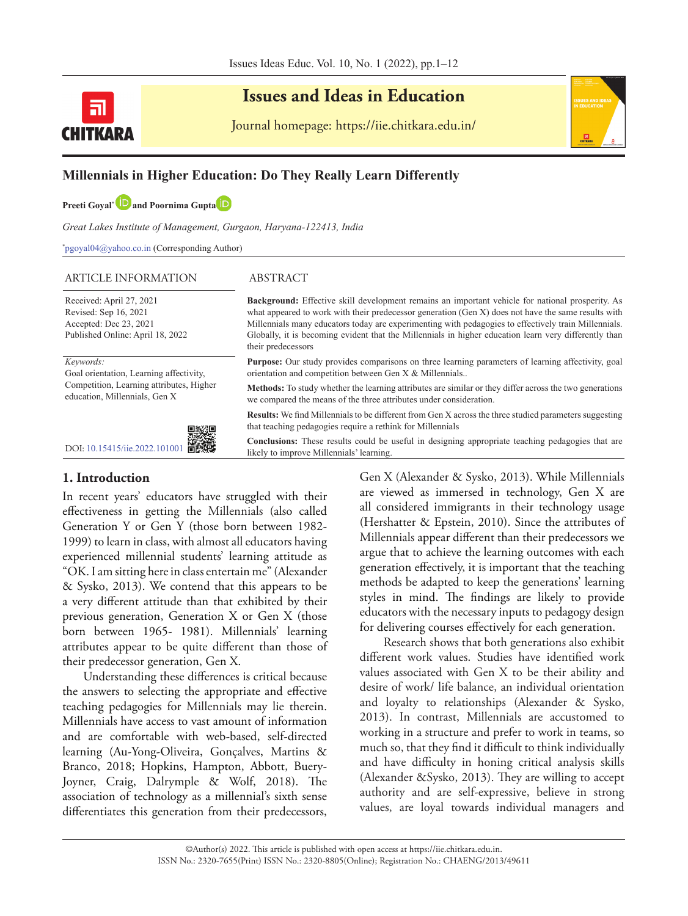

# **Issues and Ideas in Education**

Journal homepage: https://iie.chitkara.edu.in/



## **Millennials in Higher Education: Do They Really Learn Differently**

**Preeti Gov[a](https://orcid.org/0000-0002-4284-3116)l<sup>\*</sup> <b>D** and Poornima Gupta **D** 

*Great Lakes Institute of Management, Gurgaon, Haryana-122413, India*

\* pgoyal04@yahoo.co.in (Corresponding Author)

#### ARTICLE INFORMATION ABSTRACT

Received: April 27, 2021 Revised: Sep 16, 2021 Accepted: Dec 23, 2021 Published Online: April 18, 2022

*Keywords:*

Goal orientation, Learning affectivity, Competition, Learning attributes, Higher education, Millennials, Gen X



#### **1. Introduction**

In recent years' educators have struggled with their effectiveness in getting the Millennials (also called Generation Y or Gen Y (those born between 1982- 1999) to learn in class, with almost all educators having experienced millennial students' learning attitude as "OK. I am sitting here in class entertain me" (Alexander & Sysko, 2013). We contend that this appears to be a very different attitude than that exhibited by their previous generation, Generation X or Gen X (those born between 1965- 1981). Millennials' learning attributes appear to be quite different than those of their predecessor generation, Gen X.

Understanding these differences is critical because the answers to selecting the appropriate and effective teaching pedagogies for Millennials may lie therein. Millennials have access to vast amount of information and are comfortable with web-based, self-directed learning (Au-Yong-Oliveira, Gonçalves, Martins & Branco, 2018; Hopkins, Hampton, Abbott, Buery-Joyner, Craig, Dalrymple & Wolf, 2018). The association of technology as a millennial's sixth sense differentiates this generation from their predecessors,

**Background:** Effective skill development remains an important vehicle for national prosperity. As what appeared to work with their predecessor generation (Gen X) does not have the same results with Millennials many educators today are experimenting with pedagogies to effectively train Millennials. Globally, it is becoming evident that the Millennials in higher education learn very differently than their predecessors

**Purpose:** Our study provides comparisons on three learning parameters of learning affectivity, goal orientation and competition between Gen X & Millennials..

**Methods:** To study whether the learning attributes are similar or they differ across the two generations we compared the means of the three attributes under consideration.

**Results:** We find Millennials to be different from Gen X across the three studied parameters suggesting that teaching pedagogies require a rethink for Millennials

**Conclusions:** These results could be useful in designing appropriate teaching pedagogies that are likely to improve Millennials' learning.

> Gen X (Alexander & Sysko, 2013). While Millennials are viewed as immersed in technology, Gen X are all considered immigrants in their technology usage (Hershatter & Epstein, 2010). Since the attributes of Millennials appear different than their predecessors we argue that to achieve the learning outcomes with each generation effectively, it is important that the teaching methods be adapted to keep the generations' learning styles in mind. The findings are likely to provide educators with the necessary inputs to pedagogy design for delivering courses effectively for each generation.

> Research shows that both generations also exhibit different work values. Studies have identified work values associated with Gen X to be their ability and desire of work/ life balance, an individual orientation and loyalty to relationships (Alexander & Sysko, 2013). In contrast, Millennials are accustomed to working in a structure and prefer to work in teams, so much so, that they find it difficult to think individually and have difficulty in honing critical analysis skills (Alexander &Sysko, 2013). They are willing to accept authority and are self-expressive, believe in strong values, are loyal towards individual managers and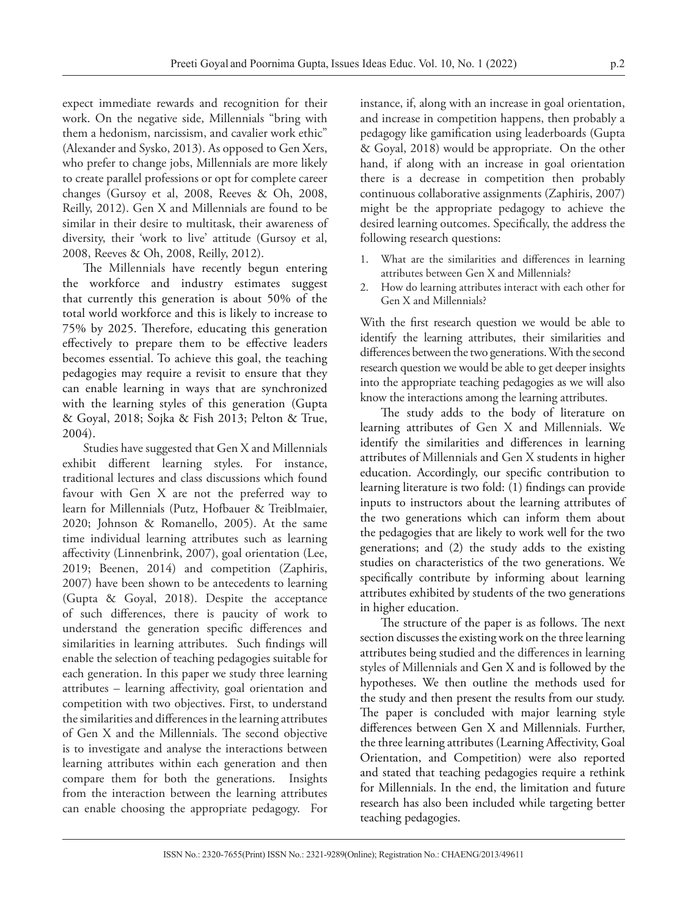expect immediate rewards and recognition for their work. On the negative side, Millennials "bring with them a hedonism, narcissism, and cavalier work ethic" (Alexander and Sysko, 2013). As opposed to Gen Xers, who prefer to change jobs, Millennials are more likely to create parallel professions or opt for complete career changes (Gursoy et al, 2008, Reeves & Oh, 2008, Reilly, 2012). Gen X and Millennials are found to be similar in their desire to multitask, their awareness of diversity, their 'work to live' attitude (Gursoy et al, 2008, Reeves & Oh, 2008, Reilly, 2012).

The Millennials have recently begun entering the workforce and industry estimates suggest that currently this generation is about 50% of the total world workforce and this is likely to increase to 75% by 2025. Therefore, educating this generation effectively to prepare them to be effective leaders becomes essential. To achieve this goal, the teaching pedagogies may require a revisit to ensure that they can enable learning in ways that are synchronized with the learning styles of this generation (Gupta & Goyal, 2018; Sojka & Fish 2013; Pelton & True, 2004).

Studies have suggested that Gen X and Millennials exhibit different learning styles. For instance, traditional lectures and class discussions which found favour with Gen X are not the preferred way to learn for Millennials (Putz, Hofbauer & Treiblmaier, 2020; Johnson & Romanello, 2005). At the same time individual learning attributes such as learning affectivity (Linnenbrink, 2007), goal orientation (Lee, 2019; Beenen, 2014) and competition (Zaphiris, 2007) have been shown to be antecedents to learning (Gupta & Goyal, 2018). Despite the acceptance of such differences, there is paucity of work to understand the generation specific differences and similarities in learning attributes. Such findings will enable the selection of teaching pedagogies suitable for each generation. In this paper we study three learning attributes – learning affectivity, goal orientation and competition with two objectives. First, to understand the similarities and differences in the learning attributes of Gen X and the Millennials. The second objective is to investigate and analyse the interactions between learning attributes within each generation and then compare them for both the generations. Insights from the interaction between the learning attributes can enable choosing the appropriate pedagogy. For

instance, if, along with an increase in goal orientation, and increase in competition happens, then probably a pedagogy like gamification using leaderboards (Gupta & Goyal, 2018) would be appropriate. On the other hand, if along with an increase in goal orientation there is a decrease in competition then probably continuous collaborative assignments (Zaphiris, 2007) might be the appropriate pedagogy to achieve the desired learning outcomes. Specifically, the address the following research questions:

- 1. What are the similarities and differences in learning attributes between Gen X and Millennials?
- 2. How do learning attributes interact with each other for Gen X and Millennials?

With the first research question we would be able to identify the learning attributes, their similarities and differences between the two generations. With the second research question we would be able to get deeper insights into the appropriate teaching pedagogies as we will also know the interactions among the learning attributes.

The study adds to the body of literature on learning attributes of Gen X and Millennials. We identify the similarities and differences in learning attributes of Millennials and Gen X students in higher education. Accordingly, our specific contribution to learning literature is two fold: (1) findings can provide inputs to instructors about the learning attributes of the two generations which can inform them about the pedagogies that are likely to work well for the two generations; and (2) the study adds to the existing studies on characteristics of the two generations. We specifically contribute by informing about learning attributes exhibited by students of the two generations in higher education.

The structure of the paper is as follows. The next section discusses the existing work on the three learning attributes being studied and the differences in learning styles of Millennials and Gen X and is followed by the hypotheses. We then outline the methods used for the study and then present the results from our study. The paper is concluded with major learning style differences between Gen X and Millennials. Further, the three learning attributes (Learning Affectivity, Goal Orientation, and Competition) were also reported and stated that teaching pedagogies require a rethink for Millennials. In the end, the limitation and future research has also been included while targeting better teaching pedagogies.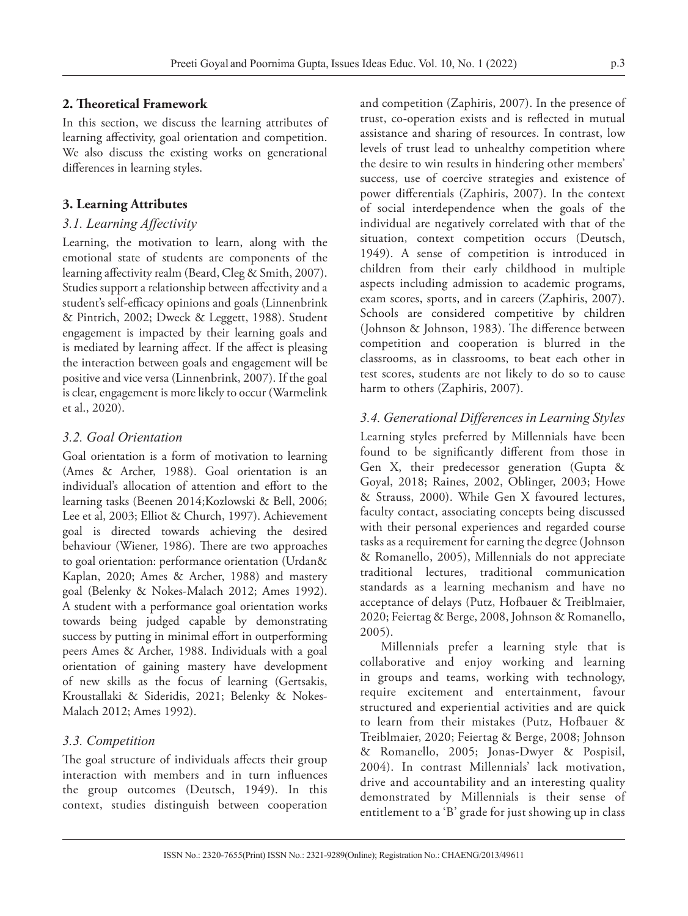## **2. Theoretical Framework**

In this section, we discuss the learning attributes of learning affectivity, goal orientation and competition. We also discuss the existing works on generational differences in learning styles.

## **3. Learning Attributes**

## *3.1. Learning Affectivity*

Learning, the motivation to learn, along with the emotional state of students are components of the learning affectivity realm (Beard, Cleg & Smith, 2007). Studies support a relationship between affectivity and a student's self-efficacy opinions and goals (Linnenbrink & Pintrich, 2002; Dweck & Leggett, 1988). Student engagement is impacted by their learning goals and is mediated by learning affect. If the affect is pleasing the interaction between goals and engagement will be positive and vice versa (Linnenbrink, 2007). If the goal is clear, engagement is more likely to occur (Warmelink et al., 2020).

## *3.2. Goal Orientation*

Goal orientation is a form of motivation to learning (Ames & Archer, 1988). Goal orientation is an individual's allocation of attention and effort to the learning tasks (Beenen 2014;Kozlowski & Bell, 2006; Lee et al, 2003; Elliot & Church, 1997). Achievement goal is directed towards achieving the desired behaviour (Wiener, 1986). There are two approaches to goal orientation: performance orientation (Urdan& Kaplan, 2020; Ames & Archer, 1988) and mastery goal (Belenky & Nokes-Malach 2012; Ames 1992). A student with a performance goal orientation works towards being judged capable by demonstrating success by putting in minimal effort in outperforming peers Ames & Archer, 1988. Individuals with a goal orientation of gaining mastery have development of new skills as the focus of learning (Gertsakis, Kroustallaki & Sideridis, 2021; Belenky & Nokes-Malach 2012; Ames 1992).

## *3.3. Competition*

The goal structure of individuals affects their group interaction with members and in turn influences the group outcomes (Deutsch, 1949). In this context, studies distinguish between cooperation

and competition (Zaphiris, 2007). In the presence of trust, co-operation exists and is reflected in mutual assistance and sharing of resources. In contrast, low levels of trust lead to unhealthy competition where the desire to win results in hindering other members' success, use of coercive strategies and existence of power differentials (Zaphiris, 2007). In the context of social interdependence when the goals of the individual are negatively correlated with that of the situation, context competition occurs (Deutsch, 1949). A sense of competition is introduced in children from their early childhood in multiple aspects including admission to academic programs, exam scores, sports, and in careers (Zaphiris, 2007). Schools are considered competitive by children (Johnson & Johnson, 1983). The difference between competition and cooperation is blurred in the classrooms, as in classrooms, to beat each other in test scores, students are not likely to do so to cause harm to others (Zaphiris, 2007).

## *3.4. Generational Differences in Learning Styles*

Learning styles preferred by Millennials have been found to be significantly different from those in Gen X, their predecessor generation (Gupta & Goyal, 2018; Raines, 2002, Oblinger, 2003; Howe & Strauss, 2000). While Gen X favoured lectures, faculty contact, associating concepts being discussed with their personal experiences and regarded course tasks as a requirement for earning the degree (Johnson & Romanello, 2005), Millennials do not appreciate traditional lectures, traditional communication standards as a learning mechanism and have no acceptance of delays (Putz, Hofbauer & Treiblmaier, 2020; Feiertag & Berge, 2008, Johnson & Romanello, 2005).

Millennials prefer a learning style that is collaborative and enjoy working and learning in groups and teams, working with technology, require excitement and entertainment, favour structured and experiential activities and are quick to learn from their mistakes (Putz, Hofbauer & Treiblmaier, 2020; Feiertag & Berge, 2008; Johnson & Romanello, 2005; Jonas-Dwyer & Pospisil, 2004). In contrast Millennials' lack motivation, drive and accountability and an interesting quality demonstrated by Millennials is their sense of entitlement to a 'B' grade for just showing up in class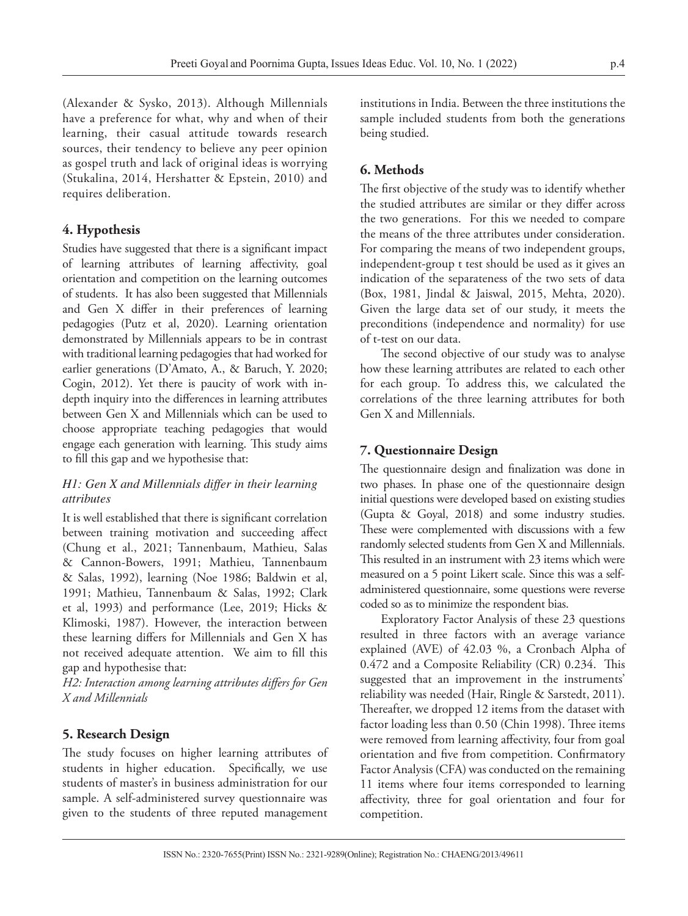(Alexander & Sysko, 2013). Although Millennials have a preference for what, why and when of their learning, their casual attitude towards research sources, their tendency to believe any peer opinion as gospel truth and lack of original ideas is worrying (Stukalina, 2014, Hershatter & Epstein, 2010) and requires deliberation.

## **4. Hypothesis**

Studies have suggested that there is a significant impact of learning attributes of learning affectivity, goal orientation and competition on the learning outcomes of students. It has also been suggested that Millennials and Gen X differ in their preferences of learning pedagogies (Putz et al, 2020). Learning orientation demonstrated by Millennials appears to be in contrast with traditional learning pedagogies that had worked for earlier generations (D'Amato, A., & Baruch, Y. 2020; Cogin, 2012). Yet there is paucity of work with indepth inquiry into the differences in learning attributes between Gen X and Millennials which can be used to choose appropriate teaching pedagogies that would engage each generation with learning. This study aims to fill this gap and we hypothesise that:

## *H1: Gen X and Millennials differ in their learning attributes*

It is well established that there is significant correlation between training motivation and succeeding affect (Chung et al., 2021; Tannenbaum, Mathieu, Salas & Cannon-Bowers, 1991; Mathieu, Tannenbaum & Salas, 1992), learning (Noe 1986; Baldwin et al, 1991; Mathieu, Tannenbaum & Salas, 1992; Clark et al, 1993) and performance (Lee, 2019; Hicks & Klimoski, 1987). However, the interaction between these learning differs for Millennials and Gen X has not received adequate attention. We aim to fill this gap and hypothesise that:

*H2: Interaction among learning attributes differs for Gen X and Millennials*

## **5. Research Design**

The study focuses on higher learning attributes of students in higher education. Specifically, we use students of master's in business administration for our sample. A self-administered survey questionnaire was given to the students of three reputed management

institutions in India. Between the three institutions the sample included students from both the generations being studied.

## **6. Methods**

The first objective of the study was to identify whether the studied attributes are similar or they differ across the two generations. For this we needed to compare the means of the three attributes under consideration. For comparing the means of two independent groups, independent-group t test should be used as it gives an indication of the separateness of the two sets of data (Box, 1981, Jindal & Jaiswal, 2015, Mehta, 2020). Given the large data set of our study, it meets the preconditions (independence and normality) for use of t-test on our data.

The second objective of our study was to analyse how these learning attributes are related to each other for each group. To address this, we calculated the correlations of the three learning attributes for both Gen X and Millennials.

## **7. Questionnaire Design**

The questionnaire design and finalization was done in two phases. In phase one of the questionnaire design initial questions were developed based on existing studies (Gupta & Goyal, 2018) and some industry studies. These were complemented with discussions with a few randomly selected students from Gen X and Millennials. This resulted in an instrument with 23 items which were measured on a 5 point Likert scale. Since this was a selfadministered questionnaire, some questions were reverse coded so as to minimize the respondent bias.

Exploratory Factor Analysis of these 23 questions resulted in three factors with an average variance explained (AVE) of 42.03 %, a Cronbach Alpha of 0.472 and a Composite Reliability (CR) 0.234. This suggested that an improvement in the instruments' reliability was needed (Hair, Ringle & Sarstedt, 2011). Thereafter, we dropped 12 items from the dataset with factor loading less than 0.50 (Chin 1998). Three items were removed from learning affectivity, four from goal orientation and five from competition. Confirmatory Factor Analysis (CFA) was conducted on the remaining 11 items where four items corresponded to learning affectivity, three for goal orientation and four for competition.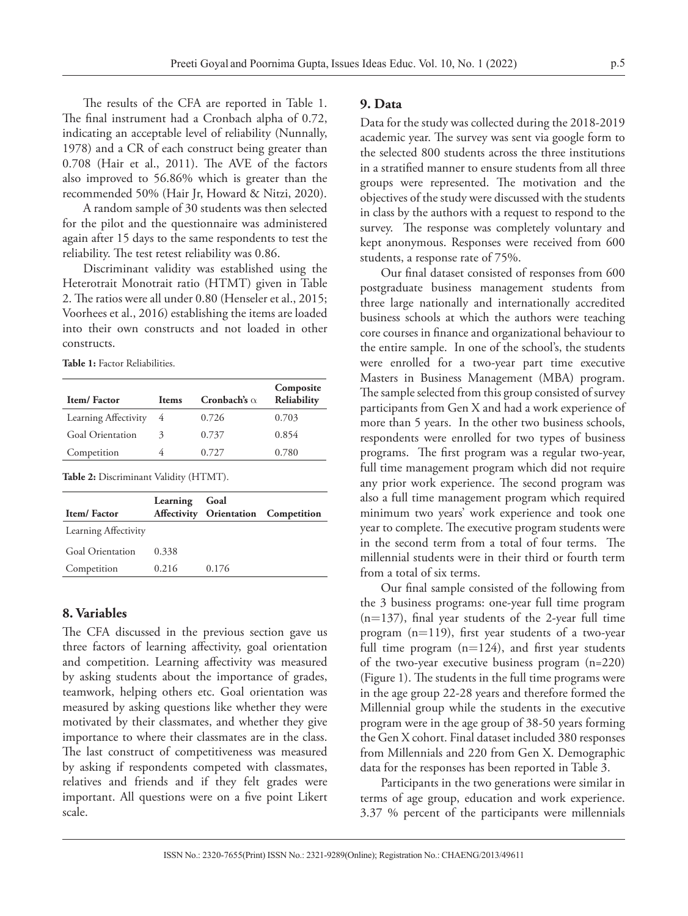The results of the CFA are reported in Table 1. The final instrument had a Cronbach alpha of 0.72, indicating an acceptable level of reliability (Nunnally, 1978) and a CR of each construct being greater than 0.708 (Hair et al., 2011). The AVE of the factors also improved to 56.86% which is greater than the recommended 50% (Hair Jr, Howard & Nitzi, 2020).

A random sample of 30 students was then selected for the pilot and the questionnaire was administered again after 15 days to the same respondents to test the reliability. The test retest reliability was 0.86.

Discriminant validity was established using the Heterotrait Monotrait ratio (HTMT) given in Table 2. The ratios were all under 0.80 (Henseler et al., 2015; Voorhees et al., 2016) establishing the items are loaded into their own constructs and not loaded in other constructs.

**Table 1:** Factor Reliabilities.

| Item/Factor             | <b>Items</b> | Cronbach's $\alpha$ | Composite<br>Reliability |
|-------------------------|--------------|---------------------|--------------------------|
| Learning Affectivity    | 4            | 0.726               | 0.703                    |
| <b>Goal Orientation</b> | 3            | 0.737               | 0.854                    |
| Competition             | 4            | 0.727               | 0.780                    |

**Table 2:** Discriminant Validity (HTMT).

| Item/Factor             | Learning | Goal  | Affectivity Orientation Competition |
|-------------------------|----------|-------|-------------------------------------|
| Learning Affectivity    |          |       |                                     |
| <b>Goal Orientation</b> | 0.338    |       |                                     |
| Competition             | 0.216    | 0.176 |                                     |
|                         |          |       |                                     |

### **8. Variables**

The CFA discussed in the previous section gave us three factors of learning affectivity, goal orientation and competition. Learning affectivity was measured by asking students about the importance of grades, teamwork, helping others etc. Goal orientation was measured by asking questions like whether they were motivated by their classmates, and whether they give importance to where their classmates are in the class. The last construct of competitiveness was measured by asking if respondents competed with classmates, relatives and friends and if they felt grades were important. All questions were on a five point Likert scale.

#### **9. Data**

Data for the study was collected during the 2018-2019 academic year. The survey was sent via google form to the selected 800 students across the three institutions in a stratified manner to ensure students from all three groups were represented. The motivation and the objectives of the study were discussed with the students in class by the authors with a request to respond to the survey. The response was completely voluntary and kept anonymous. Responses were received from 600 students, a response rate of 75%.

Our final dataset consisted of responses from 600 postgraduate business management students from three large nationally and internationally accredited business schools at which the authors were teaching core courses in finance and organizational behaviour to the entire sample. In one of the school's, the students were enrolled for a two-year part time executive Masters in Business Management (MBA) program. The sample selected from this group consisted of survey participants from Gen X and had a work experience of more than 5 years. In the other two business schools, respondents were enrolled for two types of business programs. The first program was a regular two-year, full time management program which did not require any prior work experience. The second program was also a full time management program which required minimum two years' work experience and took one year to complete. The executive program students were in the second term from a total of four terms. The millennial students were in their third or fourth term from a total of six terms.

Our final sample consisted of the following from the 3 business programs: one-year full time program  $(n=137)$ , final year students of the 2-year full time program (n=119), first year students of a two-year full time program  $(n=124)$ , and first year students of the two-year executive business program (n=220) (Figure 1). The students in the full time programs were in the age group 22-28 years and therefore formed the Millennial group while the students in the executive program were in the age group of 38-50 years forming the Gen X cohort. Final dataset included 380 responses from Millennials and 220 from Gen X. Demographic data for the responses has been reported in Table 3.

Participants in the two generations were similar in terms of age group, education and work experience. 3.37 % percent of the participants were millennials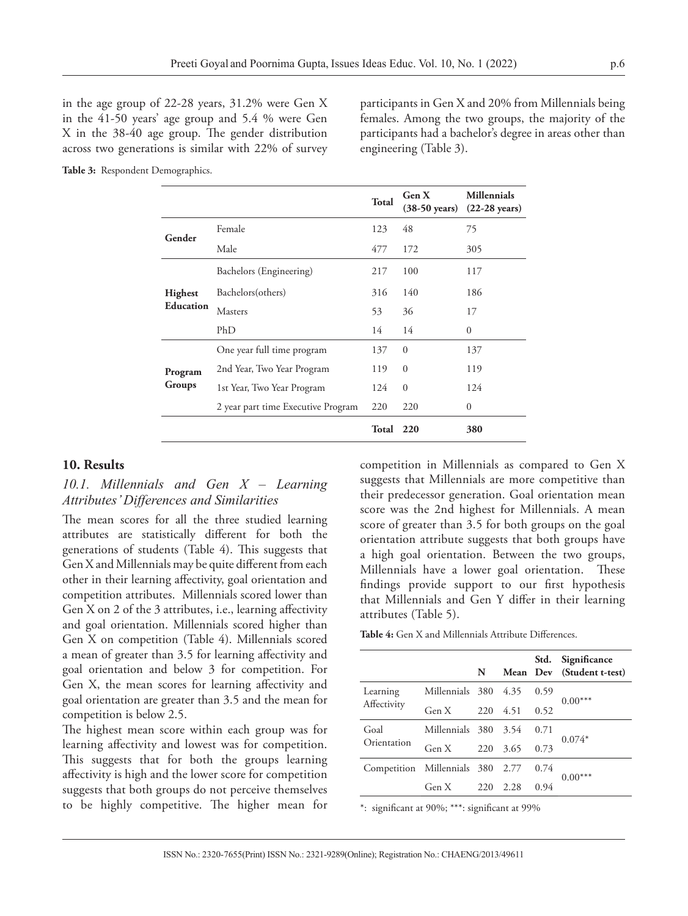in the age group of 22-28 years, 31.2% were Gen X in the 41-50 years' age group and 5.4 % were Gen X in the 38-40 age group. The gender distribution across two generations is similar with 22% of survey

participants in Gen X and 20% from Millennials being females. Among the two groups, the majority of the participants had a bachelor's degree in areas other than engineering (Table 3).

**Table 3:** Respondent Demographics.

|                  |                                    | Total     | Gen X<br>$(38-50 \text{ years})$ | <b>Millennials</b><br>$(22-28 \text{ years})$ |
|------------------|------------------------------------|-----------|----------------------------------|-----------------------------------------------|
| Gender           | Female                             | 123       | 48                               | 75                                            |
|                  | Male<br>477                        |           | 172                              | 305                                           |
|                  | Bachelors (Engineering)            | 217       | 100                              | 117                                           |
| Highest          | Bachelors(others)                  |           | 140                              | 186                                           |
| <b>Education</b> | <b>Masters</b>                     | 53        | 36                               | 17                                            |
|                  | PhD                                | 14        | 14                               | $\Omega$                                      |
|                  | One year full time program         | 137       | $\Omega$                         | 137                                           |
| Program          | 2nd Year, Two Year Program         | 119       | $\overline{0}$                   | 119                                           |
| Groups           | 1st Year, Two Year Program         | 124       | $\Omega$                         | 124                                           |
|                  | 2 year part time Executive Program | 220       | 220                              | $\mathbf{0}$                                  |
|                  |                                    | Total 220 |                                  | 380                                           |

#### **10. Results**

## *10.1. Millennials and Gen X – Learning Attributes' Differences and Similarities*

The mean scores for all the three studied learning attributes are statistically different for both the generations of students (Table 4). This suggests that Gen X and Millennials may be quite different from each other in their learning affectivity, goal orientation and competition attributes. Millennials scored lower than Gen X on 2 of the 3 attributes, i.e., learning affectivity and goal orientation. Millennials scored higher than Gen X on competition (Table 4). Millennials scored a mean of greater than 3.5 for learning affectivity and goal orientation and below 3 for competition. For Gen X, the mean scores for learning affectivity and goal orientation are greater than 3.5 and the mean for competition is below 2.5.

The highest mean score within each group was for learning affectivity and lowest was for competition. This suggests that for both the groups learning affectivity is high and the lower score for competition suggests that both groups do not perceive themselves to be highly competitive. The higher mean for

competition in Millennials as compared to Gen X suggests that Millennials are more competitive than their predecessor generation. Goal orientation mean score was the 2nd highest for Millennials. A mean score of greater than 3.5 for both groups on the goal orientation attribute suggests that both groups have a high goal orientation. Between the two groups, Millennials have a lower goal orientation. These findings provide support to our first hypothesis that Millennials and Gen Y differ in their learning attributes (Table 5).

| Table 4: Gen X and Millennials Attribute Differences. |
|-------------------------------------------------------|
|-------------------------------------------------------|

|                                  |                      | N   |      | Std. | Significance<br>Mean Dev (Student t-test) |  |
|----------------------------------|----------------------|-----|------|------|-------------------------------------------|--|
| Learning                         | Millennials 380 4.35 |     |      | 0.59 | $0.00***$                                 |  |
| Affectivity                      | Gen X                | 220 | 4.51 | 0.52 |                                           |  |
| Goal<br>Orientation              | Millennials 380 3.54 |     |      | 0.71 | $0.074*$                                  |  |
|                                  | Gen X                | 220 | 3.65 | 0.73 |                                           |  |
| Competition Millennials 380 2.77 |                      |     |      | 0.74 |                                           |  |
|                                  | Gen X                | 220 | 2.28 | 0.94 | $0.00***$                                 |  |

\*: significant at 90%; \*\*\*: significant at 99%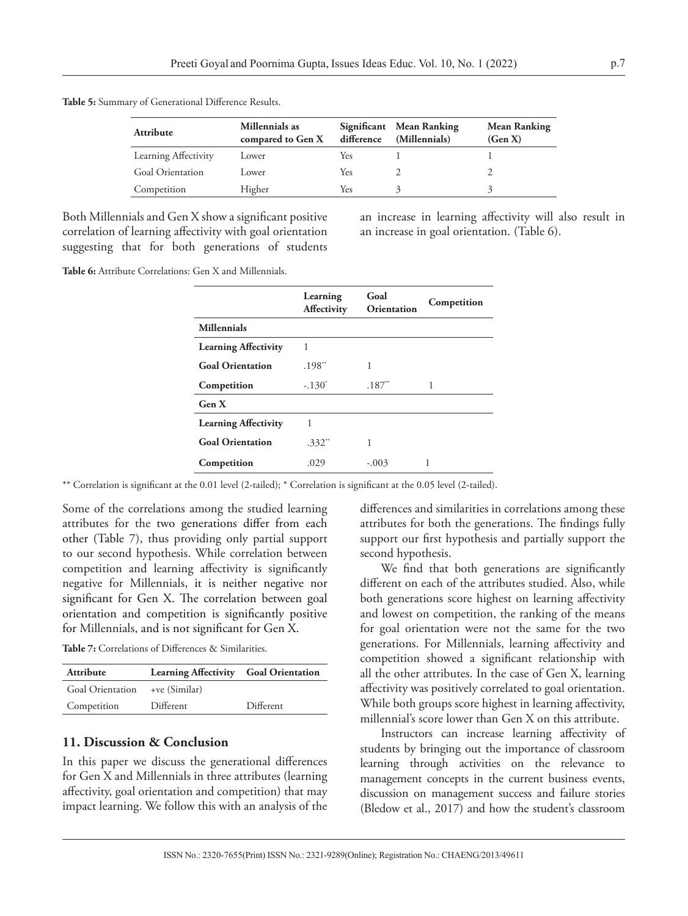| <b>Attribute</b>        | Millennials as<br>compared to Gen X | difference | Significant Mean Ranking<br>(Millennials) | <b>Mean Ranking</b><br>(Gen X) |
|-------------------------|-------------------------------------|------------|-------------------------------------------|--------------------------------|
| Learning Affectivity    | Lower                               | Yes        |                                           |                                |
| <b>Goal Orientation</b> | Lower                               | Yes        |                                           |                                |
| Competition             | Higher                              | Yes        |                                           |                                |

**Table 5:** Summary of Generational Difference Results.

Both Millennials and Gen X show a significant positive correlation of learning affectivity with goal orientation suggesting that for both generations of students an increase in learning affectivity will also result in an increase in goal orientation. (Table 6).

**Table 6:** Attribute Correlations: Gen X and Millennials.

|                             | Learning<br><b>Affectivity</b> | Goal<br><b>Orientation</b> | Competition |
|-----------------------------|--------------------------------|----------------------------|-------------|
| <b>Millennials</b>          |                                |                            |             |
| <b>Learning Affectivity</b> | 1                              |                            |             |
| <b>Goal Orientation</b>     | .198"                          | 1                          |             |
| Competition                 | $-.130^{\circ}$                | $.187$ <sup>**</sup>       |             |
| Gen X                       |                                |                            |             |
| <b>Learning Affectivity</b> | 1                              |                            |             |
| <b>Goal Orientation</b>     | $.332$ <sup>**</sup>           | 1                          |             |
| Competition                 | .029                           | $-.003$                    |             |

\*\* Correlation is significant at the 0.01 level (2-tailed); \* Correlation is significant at the 0.05 level (2-tailed).

Some of the correlations among the studied learning attributes for the two generations differ from each other (Table 7), thus providing only partial support to our second hypothesis. While correlation between competition and learning affectivity is significantly negative for Millennials, it is neither negative nor significant for Gen X. The correlation between goal orientation and competition is significantly positive for Millennials, and is not significant for Gen X.

**Table 7:** Correlations of Differences & Similarities.

| Attribute                      | Learning Affectivity Goal Orientation |           |
|--------------------------------|---------------------------------------|-----------|
| Goal Orientation +ve (Similar) |                                       |           |
| Competition                    | Different                             | Different |

#### **11. Discussion & Conclusion**

In this paper we discuss the generational differences for Gen X and Millennials in three attributes (learning affectivity, goal orientation and competition) that may impact learning. We follow this with an analysis of the

differences and similarities in correlations among these attributes for both the generations. The findings fully support our first hypothesis and partially support the second hypothesis.

We find that both generations are significantly different on each of the attributes studied. Also, while both generations score highest on learning affectivity and lowest on competition, the ranking of the means for goal orientation were not the same for the two generations. For Millennials, learning affectivity and competition showed a significant relationship with all the other attributes. In the case of Gen X, learning affectivity was positively correlated to goal orientation. While both groups score highest in learning affectivity, millennial's score lower than Gen X on this attribute.

Instructors can increase learning affectivity of students by bringing out the importance of classroom learning through activities on the relevance to management concepts in the current business events, discussion on management success and failure stories (Bledow et al., 2017) and how the student's classroom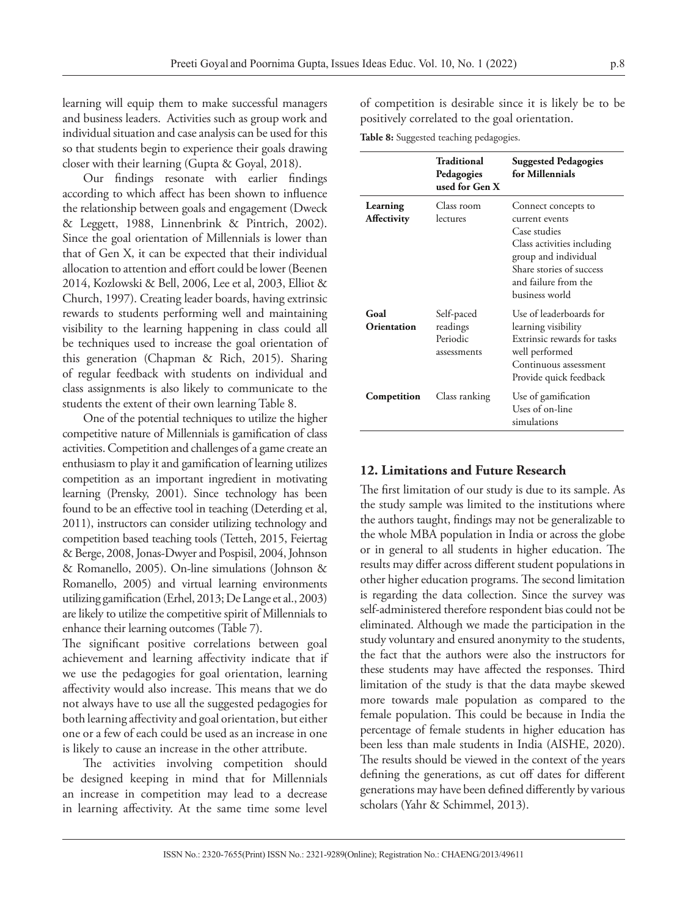learning will equip them to make successful managers and business leaders. Activities such as group work and individual situation and case analysis can be used for this so that students begin to experience their goals drawing closer with their learning (Gupta & Goyal, 2018).

Our findings resonate with earlier findings according to which affect has been shown to influence the relationship between goals and engagement (Dweck & Leggett, 1988, Linnenbrink & Pintrich, 2002). Since the goal orientation of Millennials is lower than that of Gen X, it can be expected that their individual allocation to attention and effort could be lower (Beenen 2014, Kozlowski & Bell, 2006, Lee et al, 2003, Elliot & Church, 1997). Creating leader boards, having extrinsic rewards to students performing well and maintaining visibility to the learning happening in class could all be techniques used to increase the goal orientation of this generation (Chapman & Rich, 2015). Sharing of regular feedback with students on individual and class assignments is also likely to communicate to the students the extent of their own learning Table 8.

One of the potential techniques to utilize the higher competitive nature of Millennials is gamification of class activities. Competition and challenges of a game create an enthusiasm to play it and gamification of learning utilizes competition as an important ingredient in motivating learning (Prensky, 2001). Since technology has been found to be an effective tool in teaching (Deterding et al, 2011), instructors can consider utilizing technology and competition based teaching tools (Tetteh, 2015, Feiertag & Berge, 2008, Jonas-Dwyer and Pospisil, 2004, Johnson & Romanello, 2005). On-line simulations (Johnson & Romanello, 2005) and virtual learning environments utilizing gamification (Erhel, 2013; De Lange et al., 2003) are likely to utilize the competitive spirit of Millennials to enhance their learning outcomes (Table 7).

The significant positive correlations between goal achievement and learning affectivity indicate that if we use the pedagogies for goal orientation, learning affectivity would also increase. This means that we do not always have to use all the suggested pedagogies for both learning affectivity and goal orientation, but either one or a few of each could be used as an increase in one is likely to cause an increase in the other attribute.

The activities involving competition should be designed keeping in mind that for Millennials an increase in competition may lead to a decrease in learning affectivity. At the same time some level of competition is desirable since it is likely be to be positively correlated to the goal orientation.

**Table 8:** Suggested teaching pedagogies.

|                         | Traditional<br>Pedagogies<br>used for Gen X       | <b>Suggested Pedagogies</b><br>for Millennials                                                                                                                                    |
|-------------------------|---------------------------------------------------|-----------------------------------------------------------------------------------------------------------------------------------------------------------------------------------|
| Learning<br>Affectivity | Class room<br>lectures                            | Connect concepts to<br>current events<br>Case studies<br>Class activities including<br>group and individual<br>Share stories of success<br>and failure from the<br>business world |
| Goal<br>Orientation     | Self-paced<br>readings<br>Periodic<br>assessments | Use of leaderboards for<br>learning visibility<br>Extrinsic rewards for tasks<br>well performed<br>Continuous assessment<br>Provide quick feedback                                |
| Competition             | Class ranking                                     | Use of gamification<br>Uses of on-line<br>simulations                                                                                                                             |

#### **12. Limitations and Future Research**

The first limitation of our study is due to its sample. As the study sample was limited to the institutions where the authors taught, findings may not be generalizable to the whole MBA population in India or across the globe or in general to all students in higher education. The results may differ across different student populations in other higher education programs. The second limitation is regarding the data collection. Since the survey was self-administered therefore respondent bias could not be eliminated. Although we made the participation in the study voluntary and ensured anonymity to the students, the fact that the authors were also the instructors for these students may have affected the responses. Third limitation of the study is that the data maybe skewed more towards male population as compared to the female population. This could be because in India the percentage of female students in higher education has been less than male students in India (AISHE, 2020). The results should be viewed in the context of the years defining the generations, as cut off dates for different generations may have been defined differently by various scholars (Yahr & Schimmel, 2013).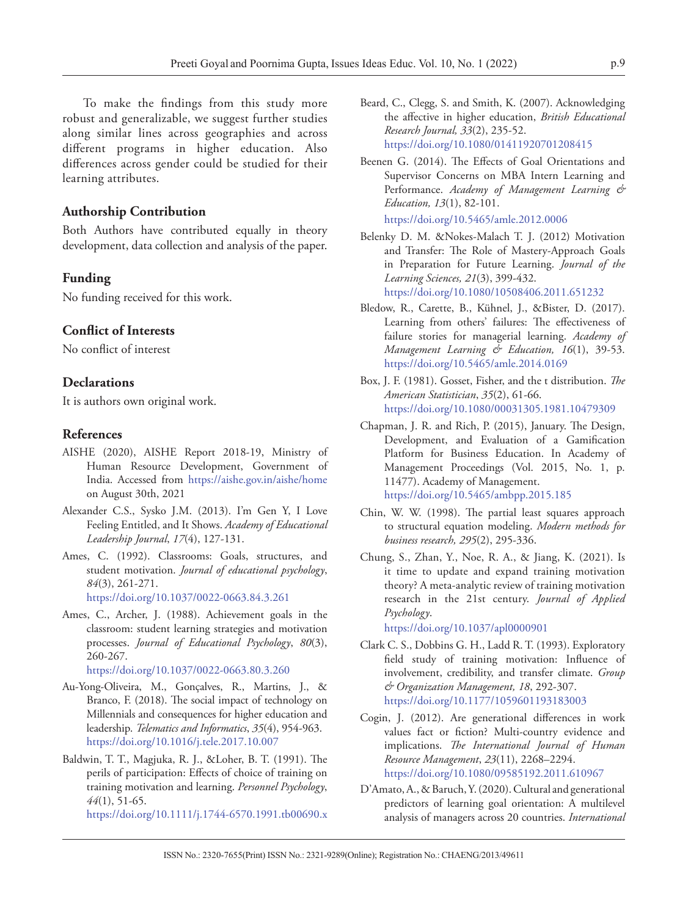To make the findings from this study more robust and generalizable, we suggest further studies along similar lines across geographies and across different programs in higher education. Also differences across gender could be studied for their learning attributes.

#### **Authorship Contribution**

Both Authors have contributed equally in theory development, data collection and analysis of the paper.

#### **Funding**

No funding received for this work.

### **Conflict of Interests**

No conflict of interest

#### **Declarations**

It is authors own original work.

#### **References**

- AISHE (2020), AISHE Report 2018-19, Ministry of Human Resource Development, Government of India. Accessed from https://aishe.gov.in/aishe/home on August 30th, 2021
- Alexander C.S., Sysko J.M. (2013). I'm Gen Y, I Love Feeling Entitled, and It Shows. *Academy of Educational Leadership Journal*, *17*(4), 127-131.
- Ames, C. (1992). Classrooms: Goals, structures, and student motivation. *Journal of educational psychology*, *84*(3), 261-271. https://doi.org/10.1037/0022-0663.84.3.261
- Ames, C., Archer, J. (1988). Achievement goals in the classroom: student learning strategies and motivation processes. *Journal of Educational Psychology*, *80*(3), 260-267.

https://doi.org/10.1037/0022-0663.80.3.260

- Au-Yong-Oliveira, M., Gonçalves, R., Martins, J., & Branco, F. (2018). The social impact of technology on Millennials and consequences for higher education and leadership. *Telematics and Informatics*, *35*(4), 954-963. https://doi.org/10.1016/j.tele.2017.10.007
- Baldwin, T. T., Magjuka, R. J., &Loher, B. T. (1991). The perils of participation: Effects of choice of training on training motivation and learning. *Personnel Psychology*, *44*(1), 51-65. https://doi.org/10.1111/j.1744-6570.1991.tb00690.x
- Beard, C., Clegg, S. and Smith, K. (2007). Acknowledging the affective in higher education, *British Educational Research Journal, 33*(2), 235-52. https://doi.org/10.1080/01411920701208415
- Beenen G. (2014). The Effects of Goal Orientations and Supervisor Concerns on MBA Intern Learning and Performance. *Academy of Management Learning & Education, 13*(1), 82-101.

https://doi.org/10.5465/amle.2012.0006

- Belenky D. M. &Nokes-Malach T. J. (2012) Motivation and Transfer: The Role of Mastery-Approach Goals in Preparation for Future Learning. *Journal of the Learning Sciences, 21*(3), 399-432. https://doi.org/10.1080/10508406.2011.651232
- Bledow, R., Carette, B., Kühnel, J., &Bister, D. (2017). Learning from others' failures: The effectiveness of failure stories for managerial learning. *Academy of Management Learning & Education, 16*(1), 39-53. https://doi.org/10.5465/amle.2014.0169
- Box, J. F. (1981). Gosset, Fisher, and the t distribution. *The American Statistician*, *35*(2), 61-66. https://doi.org/10.1080/00031305.1981.10479309
- Chapman, J. R. and Rich, P. (2015), January. The Design, Development, and Evaluation of a Gamification Platform for Business Education. In Academy of Management Proceedings (Vol. 2015, No. 1, p. 11477). Academy of Management. https://doi.org/10.5465/ambpp.2015.185
- Chin, W. W. (1998). The partial least squares approach to structural equation modeling. *Modern methods for business research, 295*(2), 295-336.
- Chung, S., Zhan, Y., Noe, R. A., & Jiang, K. (2021). Is it time to update and expand training motivation theory? A meta-analytic review of training motivation research in the 21st century. *Journal of Applied Psychology*.

https://doi.org/10.1037/apl0000901

- Clark C. S., Dobbins G. H., Ladd R. T. (1993). Exploratory field study of training motivation: Influence of involvement, credibility, and transfer climate. *Group & Organization Management, 18*, 292-307. https://doi.org/10.1177/1059601193183003
- Cogin, J. (2012). Are generational differences in work values fact or fiction? Multi-country evidence and implications. *The International Journal of Human Resource Management*, *23*(11), 2268–2294. https://doi.org/10.1080/09585192.2011.610967
- D'Amato, A., & Baruch, Y. (2020). Cultural and generational predictors of learning goal orientation: A multilevel analysis of managers across 20 countries. *International*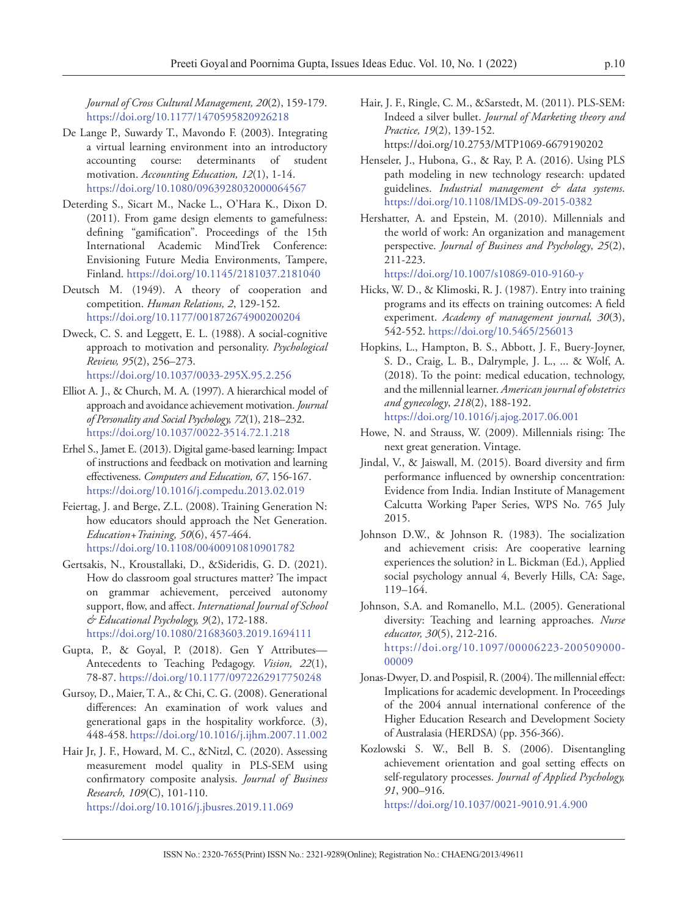*Journal of Cross Cultural Management, 20*(2), 159-179. https://doi.org/10.1177/1470595820926218

- De Lange P., Suwardy T., Mavondo F. (2003). Integrating a virtual learning environment into an introductory accounting course: determinants of student motivation. *Accounting Education, 12*(1), 1-14. https://doi.org/10.1080/0963928032000064567
- Deterding S., Sicart M., Nacke L., O'Hara K., Dixon D. (2011). From game design elements to gamefulness: defining "gamification". Proceedings of the 15th International Academic MindTrek Conference: Envisioning Future Media Environments, Tampere, Finland. https://doi.org/10.1145/2181037.2181040
- Deutsch M. (1949). A theory of cooperation and competition. *Human Relations, 2*, 129-152. https://doi.org/10.1177/001872674900200204
- Dweck, C. S. and Leggett, E. L. (1988). A social-cognitive approach to motivation and personality. *Psychological Review, 95*(2), 256–273. https://doi.org/10.1037/0033-295X.95.2.256
- Elliot A. J., & Church, M. A. (1997). A hierarchical model of approach and avoidance achievement motivation. *Journal of Personality and Social Psychology, 72*(1), 218–232. https://doi.org/10.1037/0022-3514.72.1.218
- Erhel S., Jamet E. (2013). Digital game-based learning: Impact of instructions and feedback on motivation and learning effectiveness. *Computers and Education, 67*, 156-167. https://doi.org/10.1016/j.compedu.2013.02.019
- Feiertag, J. and Berge, Z.L. (2008). Training Generation N: how educators should approach the Net Generation. *Education+Training, 50*(6), 457-464. https://doi.org/10.1108/00400910810901782
- Gertsakis, N., Kroustallaki, D., &Sideridis, G. D. (2021). How do classroom goal structures matter? The impact on grammar achievement, perceived autonomy support, flow, and affect. *International Journal of School & Educational Psychology, 9*(2), 172-188. https://doi.org/10.1080/21683603.2019.1694111
- Gupta, P., & Goyal, P. (2018). Gen Y Attributes— Antecedents to Teaching Pedagogy. *Vision, 22*(1), 78-87. https://doi.org/10.1177/0972262917750248
- Gursoy, D., Maier, T. A., & Chi, C. G. (2008). Generational differences: An examination of work values and generational gaps in the hospitality workforce. (3), 448-458. https://doi.org/10.1016/j.ijhm.2007.11.002
- Hair Jr, J. F., Howard, M. C., &Nitzl, C. (2020). Assessing measurement model quality in PLS-SEM using confirmatory composite analysis. *Journal of Business Research, 109*(C), 101-110. https://doi.org/10.1016/j.jbusres.2019.11.069
- Hair, J. F., Ringle, C. M., &Sarstedt, M. (2011). PLS-SEM: Indeed a silver bullet. *Journal of Marketing theory and Practice, 19*(2), 139-152. https://doi.org/10.2753/MTP1069-6679190202
- Henseler, J., Hubona, G., & Ray, P. A. (2016). Using PLS path modeling in new technology research: updated guidelines. *Industrial management & data systems*. https://doi.org/10.1108/IMDS-09-2015-0382
- Hershatter, A. and Epstein, M. (2010). Millennials and the world of work: An organization and management perspective. *Journal of Business and Psychology*, *25*(2), 211-223.

https://doi.org/10.1007/s10869-010-9160-y

- Hicks, W. D., & Klimoski, R. J. (1987). Entry into training programs and its effects on training outcomes: A field experiment. *Academy of management journal, 30*(3), 542-552. https://doi.org/10.5465/256013
- Hopkins, L., Hampton, B. S., Abbott, J. F., Buery-Joyner, S. D., Craig, L. B., Dalrymple, J. L., ... & Wolf, A. (2018). To the point: medical education, technology, and the millennial learner. *American journal of obstetrics and gynecology*, *218*(2), 188-192. https://doi.org/10.1016/j.ajog.2017.06.001
- Howe, N. and Strauss, W. (2009). Millennials rising: The next great generation. Vintage.
- Jindal, V., & Jaiswall, M. (2015). Board diversity and firm performance influenced by ownership concentration: Evidence from India. Indian Institute of Management Calcutta Working Paper Series, WPS No. 765 July 2015.
- Johnson D.W., & Johnson R. (1983). The socialization and achievement crisis: Are cooperative learning experiences the solution? in L. Bickman (Ed.), Applied social psychology annual 4, Beverly Hills, CA: Sage, 119–164.
- Johnson, S.A. and Romanello, M.L. (2005). Generational diversity: Teaching and learning approaches. *Nurse educator, 30*(5), 212-216. https://doi.org/10.1097/00006223-200509000- 00009
- Jonas-Dwyer, D. and Pospisil, R. (2004). The millennial effect: Implications for academic development. In Proceedings of the 2004 annual international conference of the Higher Education Research and Development Society of Australasia (HERDSA) (pp. 356-366).
- Kozlowski S. W., Bell B. S. (2006). Disentangling achievement orientation and goal setting effects on self-regulatory processes. *Journal of Applied Psychology, 91*, 900–916.
	- https://doi.org/10.1037/0021-9010.91.4.900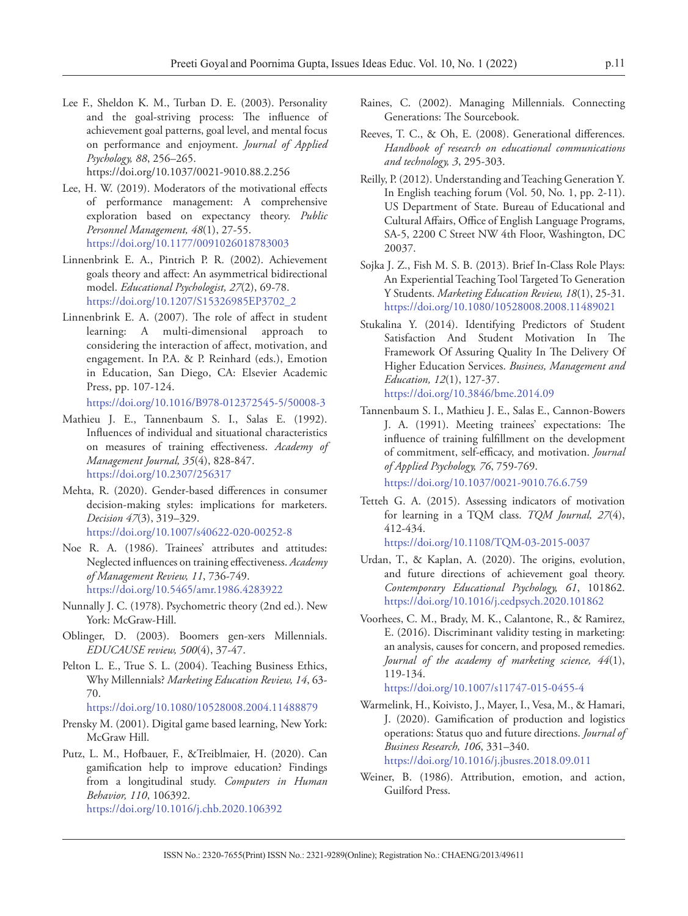Lee F., Sheldon K. M., Turban D. E. (2003). Personality and the goal-striving process: The influence of achievement goal patterns, goal level, and mental focus on performance and enjoyment. *Journal of Applied Psychology, 88*, 256–265.

https://doi.org/10.1037/0021-9010.88.2.256

- Lee, H. W. (2019). Moderators of the motivational effects of performance management: A comprehensive exploration based on expectancy theory. *Public Personnel Management, 48*(1), 27-55. https://doi.org/10.1177/0091026018783003
- Linnenbrink E. A., Pintrich P. R. (2002). Achievement goals theory and affect: An asymmetrical bidirectional model. *Educational Psychologist, 27*(2), 69-78. https://doi.org/10.1207/S15326985EP3702\_2
- Linnenbrink E. A. (2007). The role of affect in student learning: A multi-dimensional approach to considering the interaction of affect, motivation, and engagement. In P.A. & P. Reinhard (eds.), Emotion in Education, San Diego, CA: Elsevier Academic Press, pp. 107-124.

https://doi.org/10.1016/B978-012372545-5/50008-3

- Mathieu J. E., Tannenbaum S. I., Salas E. (1992). Influences of individual and situational characteristics on measures of training effectiveness. *Academy of Management Journal, 35*(4), 828-847. https://doi.org/10.2307/256317
- Mehta, R. (2020). Gender-based differences in consumer decision-making styles: implications for marketers. *Decision 47*(3), 319–329. https://doi.org/10.1007/s40622-020-00252-8
- Noe R. A. (1986). Trainees' attributes and attitudes: Neglected influences on training effectiveness. *Academy of Management Review, 11*, 736-749. https://doi.org/10.5465/amr.1986.4283922
- Nunnally J. C. (1978). Psychometric theory (2nd ed.). New York: McGraw-Hill.
- Oblinger, D. (2003). Boomers gen-xers Millennials. *EDUCAUSE review, 500*(4), 37-47.
- Pelton L. E., True S. L. (2004). Teaching Business Ethics, Why Millennials? *Marketing Education Review, 14*, 63- 70.

https://doi.org/10.1080/10528008.2004.11488879

- Prensky M. (2001). Digital game based learning, New York: McGraw Hill.
- Putz, L. M., Hofbauer, F., &Treiblmaier, H. (2020). Can gamification help to improve education? Findings from a longitudinal study. *Computers in Human Behavior, 110*, 106392.

https://doi.org/10.1016/j.chb.2020.106392

- Raines, C. (2002). Managing Millennials. Connecting Generations: The Sourcebook.
- Reeves, T. C., & Oh, E. (2008). Generational differences. *Handbook of research on educational communications and technology, 3*, 295-303.
- Reilly, P. (2012). Understanding and Teaching Generation Y. In English teaching forum (Vol. 50, No. 1, pp. 2-11). US Department of State. Bureau of Educational and Cultural Affairs, Office of English Language Programs, SA-5, 2200 C Street NW 4th Floor, Washington, DC 20037.
- Sojka J. Z., Fish M. S. B. (2013). Brief In-Class Role Plays: An Experiential Teaching Tool Targeted To Generation Y Students. *Marketing Education Review, 18*(1), 25-31. https://doi.org/10.1080/10528008.2008.11489021
- Stukalina Y. (2014). Identifying Predictors of Student Satisfaction And Student Motivation In The Framework Of Assuring Quality In The Delivery Of Higher Education Services. *Business, Management and Education, 12*(1), 127-37. https://doi.org/10.3846/bme.2014.09
- Tannenbaum S. I., Mathieu J. E., Salas E., Cannon-Bowers J. A. (1991). Meeting trainees' expectations: The influence of training fulfillment on the development of commitment, self-efficacy, and motivation. *Journal of Applied Psychology, 76*, 759-769.

https://doi.org/10.1037/0021-9010.76.6.759

Tetteh G. A. (2015). Assessing indicators of motivation for learning in a TQM class. *TQM Journal, 27*(4), 412-434.

https://doi.org/10.1108/TQM-03-2015-0037

- Urdan, T., & Kaplan, A. (2020). The origins, evolution, and future directions of achievement goal theory. *Contemporary Educational Psychology, 61*, 101862. https://doi.org/10.1016/j.cedpsych.2020.101862
- Voorhees, C. M., Brady, M. K., Calantone, R., & Ramirez, E. (2016). Discriminant validity testing in marketing: an analysis, causes for concern, and proposed remedies. *Journal of the academy of marketing science, 44*(1), 119-134.

https://doi.org/10.1007/s11747-015-0455-4

- Warmelink, H., Koivisto, J., Mayer, I., Vesa, M., & Hamari, J. (2020). Gamification of production and logistics operations: Status quo and future directions. *Journal of Business Research, 106*, 331–340. https://doi.org/10.1016/j.jbusres.2018.09.011
- Weiner, B. (1986). Attribution, emotion, and action, Guilford Press.